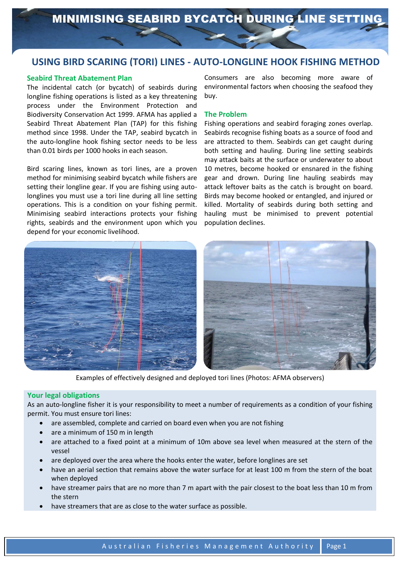# Using **USING BIRD SCARING (TORI) LINES - AUTO-LONGLINE HOOK FISHING METHOD**

## **Seabird Threat Abatement Plan**

The incidental catch (or bycatch) of seabirds during longline fishing operations is listed as a key threatening process under the Environment Protection and Biodiversity Conservation Act 1999. AFMA has applied a Seabird Threat Abatement Plan (TAP) for this fishing method since 1998. Under the TAP, seabird bycatch in the auto-longline hook fishing sector needs to be less than 0.01 birds per 1000 hooks in each season.

Bird scaring lines, known as tori lines, are a proven method for minimising seabird bycatch while fishers are setting their longline gear. If you are fishing using autolonglines you must use a tori line during all line setting operations. This is a condition on your fishing permit. Minimising seabird interactions protects your fishing rights, seabirds and the environment upon which you depend for your economic livelihood.

Consumers are also becoming more aware of environmental factors when choosing the seafood they buy.

### **The Problem**

Fishing operations and seabird foraging zones overlap. Seabirds recognise fishing boats as a source of food and are attracted to them. Seabirds can get caught during both setting and hauling. During line setting seabirds may attack baits at the surface or underwater to about 10 metres, become hooked or ensnared in the fishing gear and drown. During line hauling seabirds may attack leftover baits as the catch is brought on board. Birds may become hooked or entangled, and injured or killed. Mortality of seabirds during both setting and hauling must be minimised to prevent potential population declines.



Examples of effectively designed and deployed tori lines (Photos: AFMA observers)

#### **Your legal obligations**

As an auto-longline fisher it is your responsibility to meet a number of requirements as a condition of your fishing permit. You must ensure tori lines:

- are assembled, complete and carried on board even when you are not fishing
- are a minimum of 150 m in length
- are attached to a fixed point at a minimum of 10m above sea level when measured at the stern of the vessel
- are deployed over the area where the hooks enter the water, before longlines are set
- have an aerial section that remains above the water surface for at least 100 m from the stern of the boat when deployed
- have streamer pairs that are no more than 7 m apart with the pair closest to the boat less than 10 m from the stern
- have streamers that are as close to the water surface as possible.